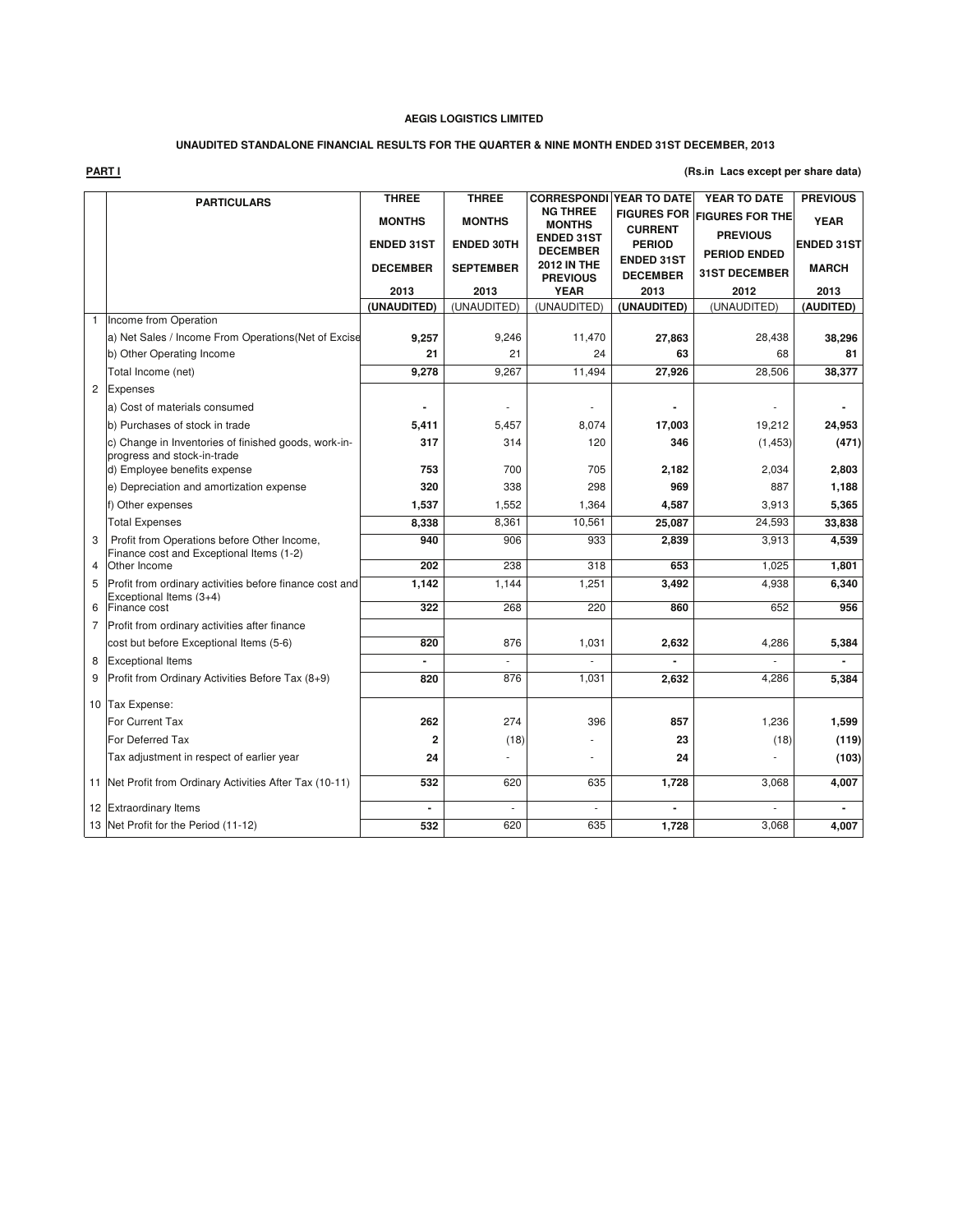# **UNAUDITED STANDALONE FINANCIAL RESULTS FOR THE QUARTER & NINE MONTH ENDED 31ST DECEMBER, 2013**

**PART I**

**(Rs.in Lacs except per share data)**

|                | <b>PARTICULARS</b>                                                                      | <b>THREE</b>      | <b>THREE</b>      | <b>CORRESPONDI</b>                    | YEAR TO DATE                         | YEAR TO DATE                           | <b>PREVIOUS</b>   |
|----------------|-----------------------------------------------------------------------------------------|-------------------|-------------------|---------------------------------------|--------------------------------------|----------------------------------------|-------------------|
|                |                                                                                         | <b>MONTHS</b>     | <b>MONTHS</b>     | <b>NG THREE</b><br><b>MONTHS</b>      | <b>FIGURES FOR</b><br><b>CURRENT</b> | <b>FIGURES FOR THE</b>                 | <b>YEAR</b>       |
|                |                                                                                         | <b>ENDED 31ST</b> | <b>ENDED 30TH</b> | <b>ENDED 31ST</b><br><b>DECEMBER</b>  | <b>PERIOD</b>                        | <b>PREVIOUS</b><br><b>PERIOD ENDED</b> | <b>ENDED 31ST</b> |
|                |                                                                                         | <b>DECEMBER</b>   | <b>SEPTEMBER</b>  | <b>2012 IN THE</b><br><b>PREVIOUS</b> | <b>ENDED 31ST</b><br><b>DECEMBER</b> | <b>31ST DECEMBER</b>                   | <b>MARCH</b>      |
|                |                                                                                         | 2013              | 2013              | <b>YEAR</b>                           | 2013                                 | 2012                                   | 2013              |
|                |                                                                                         | (UNAUDITED)       | (UNAUDITED)       | (UNAUDITED)                           | (UNAUDITED)                          | (UNAUDITED)                            | (AUDITED)         |
| $\mathbf{1}$   | Income from Operation                                                                   |                   |                   |                                       |                                      |                                        |                   |
|                | a) Net Sales / Income From Operations (Net of Excise                                    | 9,257             | 9,246             | 11,470                                | 27,863                               | 28,438                                 | 38,296            |
|                | b) Other Operating Income                                                               | 21                | 21                | 24                                    | 63                                   | 68                                     | 81                |
|                | Total Income (net)                                                                      | 9,278             | 9,267             | 11,494                                | 27,926                               | 28,506                                 | 38,377            |
| $\overline{c}$ | Expenses                                                                                |                   |                   |                                       |                                      |                                        |                   |
|                | a) Cost of materials consumed                                                           |                   |                   |                                       |                                      |                                        |                   |
|                | b) Purchases of stock in trade                                                          | 5,411             | 5,457             | 8.074                                 | 17,003                               | 19,212                                 | 24,953            |
|                | c) Change in Inventories of finished goods, work-in-<br>progress and stock-in-trade     | 317               | 314               | 120                                   | 346                                  | (1, 453)                               | (471)             |
|                | d) Employee benefits expense                                                            | 753               | 700               | 705                                   | 2.182                                | 2,034                                  | 2,803             |
|                | e) Depreciation and amortization expense                                                | 320               | 338               | 298                                   | 969                                  | 887                                    | 1,188             |
|                | f) Other expenses                                                                       | 1,537             | 1,552             | 1,364                                 | 4,587                                | 3,913                                  | 5,365             |
|                | <b>Total Expenses</b>                                                                   | 8,338             | 8,361             | 10,561                                | 25,087                               | 24,593                                 | 33,838            |
| 3              | Profit from Operations before Other Income,<br>Finance cost and Exceptional Items (1-2) | 940               | 906               | 933                                   | 2,839                                | 3,913                                  | 4,539             |
| 4              | Other Income                                                                            | 202               | 238               | 318                                   | 653                                  | 1,025                                  | 1,801             |
| 5              | Profit from ordinary activities before finance cost and<br>Exceptional Items (3+4)      | 1,142             | 1.144             | 1,251                                 | 3,492                                | 4,938                                  | 6,340             |
| 6              | Finance cost                                                                            | 322               | 268               | 220                                   | 860                                  | 652                                    | 956               |
| 7              | Profit from ordinary activities after finance                                           |                   |                   |                                       |                                      |                                        |                   |
|                | cost but before Exceptional Items (5-6)                                                 | 820               | 876               | 1,031                                 | 2,632                                | 4,286                                  | 5,384             |
| 8              | <b>Exceptional Items</b>                                                                |                   |                   |                                       |                                      |                                        |                   |
| 9              | Profit from Ordinary Activities Before Tax (8+9)                                        | 820               | 876               | 1,031                                 | 2,632                                | 4,286                                  | 5,384             |
|                | 10 Tax Expense:                                                                         |                   |                   |                                       |                                      |                                        |                   |
|                | For Current Tax                                                                         | 262               | 274               | 396                                   | 857                                  | 1,236                                  | 1,599             |
|                | <b>For Deferred Tax</b>                                                                 | 2                 | (18)              |                                       | 23                                   | (18)                                   | (119)             |
|                | Tax adjustment in respect of earlier year                                               | 24                |                   |                                       | 24                                   |                                        | (103)             |
|                | 11 Net Profit from Ordinary Activities After Tax (10-11)                                | 532               | 620               | 635                                   | 1,728                                | 3,068                                  | 4,007             |
|                | 12 Extraordinary Items                                                                  | $\overline{a}$    | ÷.                | ×.                                    | $\overline{a}$                       | ÷.                                     |                   |
|                | 13 Net Profit for the Period (11-12)                                                    | 532               | 620               | 635                                   | 1,728                                | 3,068                                  | 4,007             |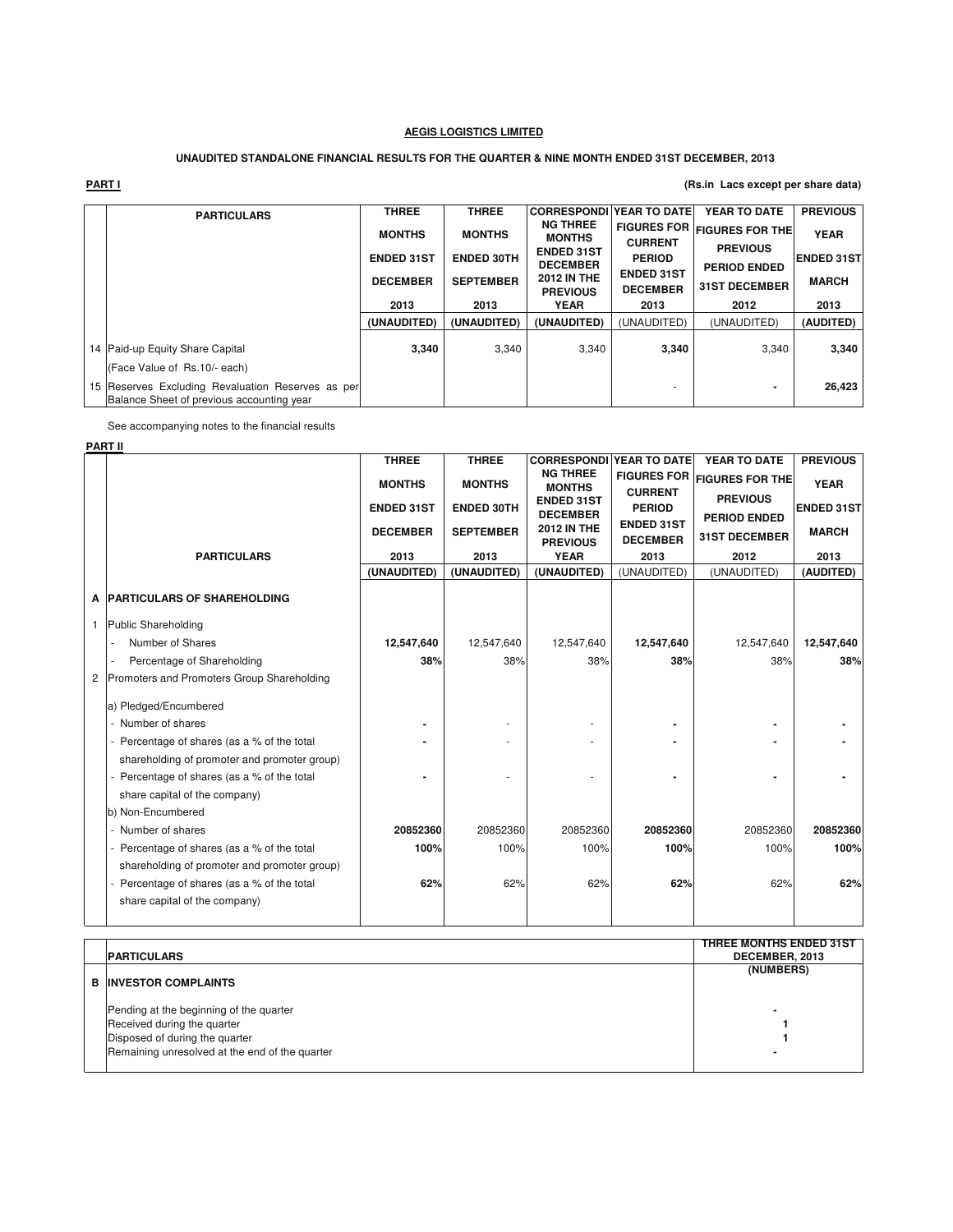## **UNAUDITED STANDALONE FINANCIAL RESULTS FOR THE QUARTER & NINE MONTH ENDED 31ST DECEMBER, 2013**

| <b>PART I</b><br>(Rs.in Lacs except per share data)                                            |                   |                   |                                       |                                      |                                        |                   |
|------------------------------------------------------------------------------------------------|-------------------|-------------------|---------------------------------------|--------------------------------------|----------------------------------------|-------------------|
| <b>PARTICULARS</b>                                                                             | <b>THREE</b>      | <b>THREE</b>      | <b>CORRESPONDI</b>                    | YEAR TO DATE                         | YEAR TO DATE                           | <b>PREVIOUS</b>   |
|                                                                                                | <b>MONTHS</b>     | <b>MONTHS</b>     | <b>NG THREE</b><br><b>MONTHS</b>      | <b>CURRENT</b>                       | FIGURES FOR FIGURES FOR THE            | <b>YEAR</b>       |
|                                                                                                | <b>ENDED 31ST</b> | <b>ENDED 30TH</b> | <b>ENDED 31ST</b><br><b>DECEMBER</b>  | <b>PERIOD</b>                        | <b>PREVIOUS</b><br><b>PERIOD ENDED</b> | <b>ENDED 31ST</b> |
|                                                                                                | <b>DECEMBER</b>   | <b>SEPTEMBER</b>  | <b>2012 IN THE</b><br><b>PREVIOUS</b> | <b>ENDED 31ST</b><br><b>DECEMBER</b> | <b>31ST DECEMBER</b>                   | <b>MARCH</b>      |
|                                                                                                | 2013              | 2013              | YEAR                                  | 2013                                 | 2012                                   | 2013              |
|                                                                                                | (UNAUDITED)       | (UNAUDITED)       | (UNAUDITED)                           | (UNAUDITED)                          | (UNAUDITED)                            | (AUDITED)         |
| 14 Paid-up Equity Share Capital                                                                | 3.340             | 3.340             | 3,340                                 | 3.340                                | 3,340                                  | 3,340             |
| (Face Value of Rs.10/- each)                                                                   |                   |                   |                                       |                                      |                                        |                   |
| 15 Reserves Excluding Revaluation Reserves as per<br>Balance Sheet of previous accounting year |                   |                   |                                       |                                      |                                        | 26,423            |

See accompanying notes to the financial results

# **PART II**

|                                              | <b>THREE</b>      | <b>THREE</b>      | <b>CORRESPONDI</b>                    | YEAR TO DATE                         | YEAR TO DATE                           | <b>PREVIOUS</b>   |
|----------------------------------------------|-------------------|-------------------|---------------------------------------|--------------------------------------|----------------------------------------|-------------------|
|                                              | <b>MONTHS</b>     | <b>MONTHS</b>     | <b>NG THREE</b><br><b>MONTHS</b>      | <b>FIGURES FOR</b><br><b>CURRENT</b> | <b>FIGURES FOR THE</b>                 | <b>YEAR</b>       |
|                                              | <b>ENDED 31ST</b> | <b>ENDED 30TH</b> | <b>ENDED 31ST</b><br><b>DECEMBER</b>  | <b>PERIOD</b>                        | <b>PREVIOUS</b><br><b>PERIOD ENDED</b> | <b>ENDED 31ST</b> |
|                                              | <b>DECEMBER</b>   | <b>SEPTEMBER</b>  | <b>2012 IN THE</b><br><b>PREVIOUS</b> | <b>ENDED 31ST</b><br><b>DECEMBER</b> | <b>31ST DECEMBER</b>                   | <b>MARCH</b>      |
| <b>PARTICULARS</b>                           | 2013              | 2013              | <b>YEAR</b>                           | 2013                                 | 2012                                   | 2013              |
|                                              | (UNAUDITED)       | (UNAUDITED)       | (UNAUDITED)                           | (UNAUDITED)                          | (UNAUDITED)                            | (AUDITED)         |
| A PARTICULARS OF SHAREHOLDING                |                   |                   |                                       |                                      |                                        |                   |
| <b>Public Shareholding</b>                   |                   |                   |                                       |                                      |                                        |                   |
| Number of Shares                             | 12,547,640        | 12,547,640        | 12,547,640                            | 12,547,640                           | 12,547,640                             | 12,547,640        |
| Percentage of Shareholding                   | 38%               | 38%               | 38%                                   | 38%                                  | 38%                                    | 38%               |
| 2 Promoters and Promoters Group Shareholding |                   |                   |                                       |                                      |                                        |                   |
| a) Pledged/Encumbered                        |                   |                   |                                       |                                      |                                        |                   |
| - Number of shares                           |                   |                   |                                       |                                      |                                        |                   |
| Percentage of shares (as a % of the total    |                   |                   |                                       |                                      |                                        |                   |
| shareholding of promoter and promoter group) |                   |                   |                                       |                                      |                                        |                   |
| Percentage of shares (as a % of the total    |                   |                   |                                       |                                      |                                        |                   |
| share capital of the company)                |                   |                   |                                       |                                      |                                        |                   |
| b) Non-Encumbered                            |                   |                   |                                       |                                      |                                        |                   |
| - Number of shares                           | 20852360          | 20852360          | 20852360                              | 20852360                             | 20852360                               | 20852360          |
| - Percentage of shares (as a % of the total  | 100%              | 100%              | 100%                                  | 100%                                 | 100%                                   | 100%              |
| shareholding of promoter and promoter group) |                   |                   |                                       |                                      |                                        |                   |
| Percentage of shares (as a % of the total    | 62%               | 62%               | 62%                                   | 62%                                  | 62%                                    | 62%               |
| share capital of the company)                |                   |                   |                                       |                                      |                                        |                   |
|                                              |                   |                   |                                       |                                      |                                        |                   |

|                                                | THREE MONTHS ENDED 31ST |
|------------------------------------------------|-------------------------|
|                                                |                         |
| <b>PARTICULARS</b>                             | DECEMBER, 2013          |
|                                                | (NUMBERS)               |
| <b>B INVESTOR COMPLAINTS</b>                   |                         |
|                                                |                         |
| Pending at the beginning of the quarter        | $\blacksquare$          |
| Received during the quarter                    |                         |
| Disposed of during the quarter                 |                         |
| Remaining unresolved at the end of the quarter |                         |
|                                                |                         |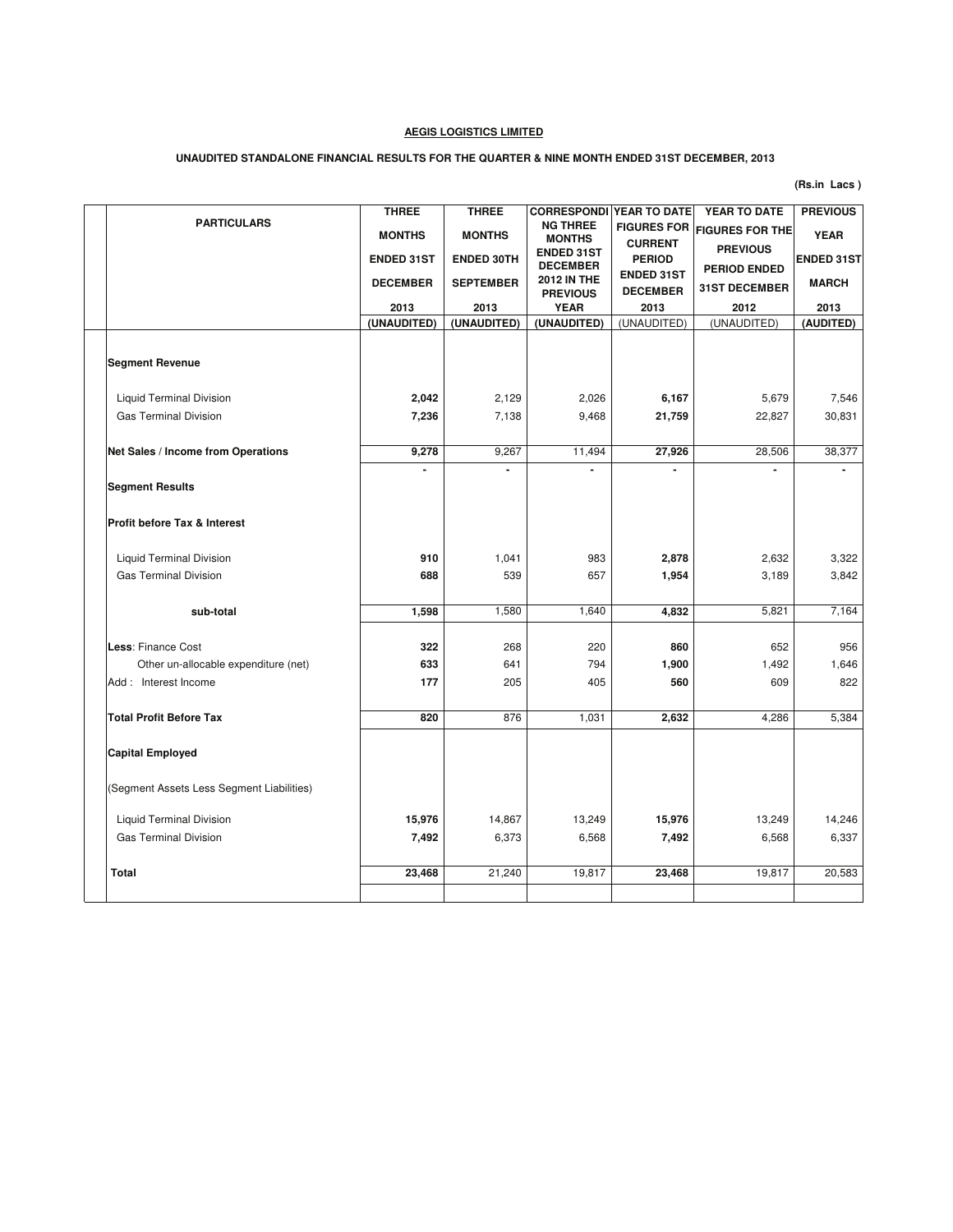# **UNAUDITED STANDALONE FINANCIAL RESULTS FOR THE QUARTER & NINE MONTH ENDED 31ST DECEMBER, 2013**

|                                           | <b>THREE</b>      | <b>THREE</b>                      | <b>CORRESPONDI YEAR TO DATE</b>      |                                      | YEAR TO DATE                           | <b>PREVIOUS</b>   |
|-------------------------------------------|-------------------|-----------------------------------|--------------------------------------|--------------------------------------|----------------------------------------|-------------------|
| <b>PARTICULARS</b>                        | <b>MONTHS</b>     | <b>MONTHS</b>                     | <b>NG THREE</b><br><b>MONTHS</b>     | <b>FIGURES FOR</b><br><b>CURRENT</b> | <b>FIGURES FOR THE</b>                 | <b>YEAR</b>       |
|                                           | <b>ENDED 31ST</b> | <b>ENDED 30TH</b>                 | <b>ENDED 31ST</b><br><b>DECEMBER</b> | <b>PERIOD</b>                        | <b>PREVIOUS</b><br><b>PERIOD ENDED</b> | <b>ENDED 31ST</b> |
|                                           | <b>DECEMBER</b>   | <b>SEPTEMBER</b>                  | <b>2012 IN THE</b>                   | <b>ENDED 31ST</b><br><b>DECEMBER</b> | <b>31ST DECEMBER</b>                   | <b>MARCH</b>      |
|                                           | 2013              | 2013                              | <b>PREVIOUS</b><br><b>YEAR</b>       | 2013                                 | 2012                                   | 2013              |
|                                           | (UNAUDITED)       | (UNAUDITED)                       | (UNAUDITED)                          | (UNAUDITED)                          | (UNAUDITED)                            | (AUDITED)         |
|                                           |                   |                                   |                                      |                                      |                                        |                   |
| <b>Segment Revenue</b>                    |                   |                                   |                                      |                                      |                                        |                   |
| <b>Liquid Terminal Division</b>           | 2,042             | 2,129                             | 2,026                                | 6,167                                | 5,679                                  | 7,546             |
| <b>Gas Terminal Division</b>              | 7,236             | 7,138                             | 9,468                                | 21,759                               | 22,827                                 | 30,831            |
|                                           |                   |                                   |                                      |                                      |                                        |                   |
| Net Sales / Income from Operations        | 9,278             | 9,267<br>$\overline{\phantom{0}}$ | 11,494                               | 27,926                               | 28,506                                 | 38,377            |
| <b>Segment Results</b>                    |                   |                                   |                                      |                                      |                                        |                   |
| <b>Profit before Tax &amp; Interest</b>   |                   |                                   |                                      |                                      |                                        |                   |
| <b>Liquid Terminal Division</b>           | 910               | 1,041                             | 983                                  | 2,878                                | 2,632                                  | 3,322             |
| <b>Gas Terminal Division</b>              | 688               | 539                               | 657                                  | 1,954                                | 3,189                                  | 3,842             |
| sub-total                                 | 1,598             | 1,580                             | 1,640                                | 4,832                                | 5,821                                  | 7,164             |
| Less: Finance Cost                        | 322               | 268                               | 220                                  | 860                                  | 652                                    | 956               |
| Other un-allocable expenditure (net)      | 633               | 641                               | 794                                  | 1,900                                | 1,492                                  | 1,646             |
| Add: Interest Income                      | 177               | 205                               | 405                                  | 560                                  | 609                                    | 822               |
| <b>Total Profit Before Tax</b>            | 820               | 876                               | 1,031                                | 2,632                                | 4,286                                  | 5,384             |
|                                           |                   |                                   |                                      |                                      |                                        |                   |
| <b>Capital Employed</b>                   |                   |                                   |                                      |                                      |                                        |                   |
| (Segment Assets Less Segment Liabilities) |                   |                                   |                                      |                                      |                                        |                   |
| <b>Liquid Terminal Division</b>           | 15,976            | 14,867                            | 13,249                               | 15,976                               | 13,249                                 | 14,246            |
| <b>Gas Terminal Division</b>              | 7,492             | 6,373                             | 6,568                                | 7,492                                | 6,568                                  | 6,337             |
| <b>Total</b>                              | 23,468            | 21,240                            | 19,817                               | 23,468                               | 19,817                                 | 20,583            |
|                                           |                   |                                   |                                      |                                      |                                        |                   |
|                                           |                   |                                   |                                      |                                      |                                        |                   |

**(Rs.in Lacs )**